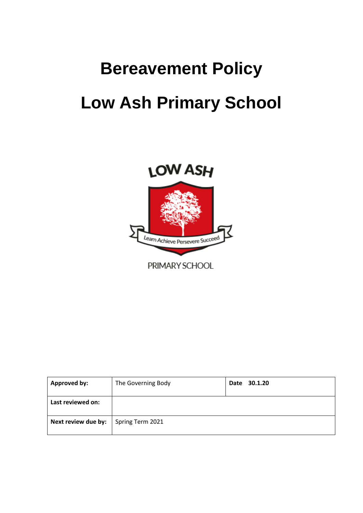# **Bereavement Policy Low Ash Primary School**



| <b>Approved by:</b> | The Governing Body | Date 30.1.20 |
|---------------------|--------------------|--------------|
| Last reviewed on:   |                    |              |
| Next review due by: | Spring Term 2021   |              |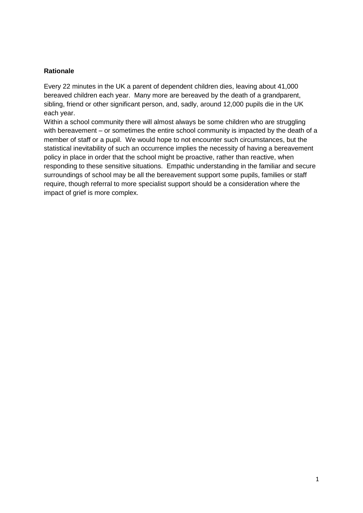## **Rationale**

Every 22 minutes in the UK a parent of dependent children dies, leaving about 41,000 bereaved children each year. Many more are bereaved by the death of a grandparent, sibling, friend or other significant person, and, sadly, around 12,000 pupils die in the UK each year.

Within a school community there will almost always be some children who are struggling with bereavement – or sometimes the entire school community is impacted by the death of a member of staff or a pupil. We would hope to not encounter such circumstances, but the statistical inevitability of such an occurrence implies the necessity of having a bereavement policy in place in order that the school might be proactive, rather than reactive, when responding to these sensitive situations. Empathic understanding in the familiar and secure surroundings of school may be all the bereavement support some pupils, families or staff require, though referral to more specialist support should be a consideration where the impact of grief is more complex.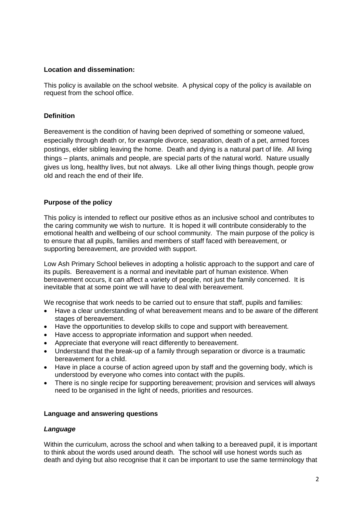## **Location and dissemination:**

This policy is available on the school website. A physical copy of the policy is available on request from the school office.

## **Definition**

Bereavement is the condition of having been deprived of something or someone valued, especially through death or, for example divorce, separation, death of a pet, armed forces postings, elder sibling leaving the home. Death and dying is a natural part of life. All living things – plants, animals and people, are special parts of the natural world. Nature usually gives us long, healthy lives, but not always. Like all other living things though, people grow old and reach the end of their life.

## **Purpose of the policy**

This policy is intended to reflect our positive ethos as an inclusive school and contributes to the caring community we wish to nurture. It is hoped it will contribute considerably to the emotional health and wellbeing of our school community. The main purpose of the policy is to ensure that all pupils, families and members of staff faced with bereavement, or supporting bereavement, are provided with support.

Low Ash Primary School believes in adopting a holistic approach to the support and care of its pupils. Bereavement is a normal and inevitable part of human existence. When bereavement occurs, it can affect a variety of people, not just the family concerned. It is inevitable that at some point we will have to deal with bereavement.

We recognise that work needs to be carried out to ensure that staff, pupils and families:

- Have a clear understanding of what bereavement means and to be aware of the different stages of bereavement.
- Have the opportunities to develop skills to cope and support with bereavement.
- Have access to appropriate information and support when needed.
- Appreciate that everyone will react differently to bereavement.
- Understand that the break-up of a family through separation or divorce is a traumatic bereavement for a child.
- Have in place a course of action agreed upon by staff and the governing body, which is understood by everyone who comes into contact with the pupils.
- There is no single recipe for supporting bereavement; provision and services will always need to be organised in the light of needs, priorities and resources.

## **Language and answering questions**

## *Language*

Within the curriculum, across the school and when talking to a bereaved pupil, it is important to think about the words used around death. The school will use honest words such as death and dying but also recognise that it can be important to use the same terminology that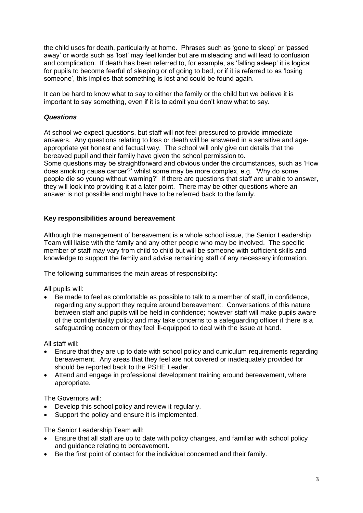the child uses for death, particularly at home. Phrases such as 'gone to sleep' or 'passed away' or words such as 'lost' may feel kinder but are misleading and will lead to confusion and complication. If death has been referred to, for example, as 'falling asleep' it is logical for pupils to become fearful of sleeping or of going to bed, or if it is referred to as 'losing someone', this implies that something is lost and could be found again.

It can be hard to know what to say to either the family or the child but we believe it is important to say something, even if it is to admit you don't know what to say.

## *Questions*

At school we expect questions, but staff will not feel pressured to provide immediate answers. Any questions relating to loss or death will be answered in a sensitive and ageappropriate yet honest and factual way. The school will only give out details that the bereaved pupil and their family have given the school permission to. Some questions may be straightforward and obvious under the circumstances, such as 'How does smoking cause cancer?' whilst some may be more complex, e.g. 'Why do some people die so young without warning?' If there are questions that staff are unable to answer, they will look into providing it at a later point. There may be other questions where an answer is not possible and might have to be referred back to the family.

#### **Key responsibilities around bereavement**

Although the management of bereavement is a whole school issue, the Senior Leadership Team will liaise with the family and any other people who may be involved. The specific member of staff may vary from child to child but will be someone with sufficient skills and knowledge to support the family and advise remaining staff of any necessary information.

The following summarises the main areas of responsibility:

All pupils will:

 Be made to feel as comfortable as possible to talk to a member of staff, in confidence, regarding any support they require around bereavement. Conversations of this nature between staff and pupils will be held in confidence; however staff will make pupils aware of the confidentiality policy and may take concerns to a safeguarding officer if there is a safeguarding concern or they feel ill-equipped to deal with the issue at hand.

All staff will:

- Ensure that they are up to date with school policy and curriculum requirements regarding bereavement. Any areas that they feel are not covered or inadequately provided for should be reported back to the PSHE Leader.
- Attend and engage in professional development training around bereavement, where appropriate.

The Governors will:

- Develop this school policy and review it regularly.
- Support the policy and ensure it is implemented.

The Senior Leadership Team will:

- Ensure that all staff are up to date with policy changes, and familiar with school policy and guidance relating to bereavement.
- Be the first point of contact for the individual concerned and their family.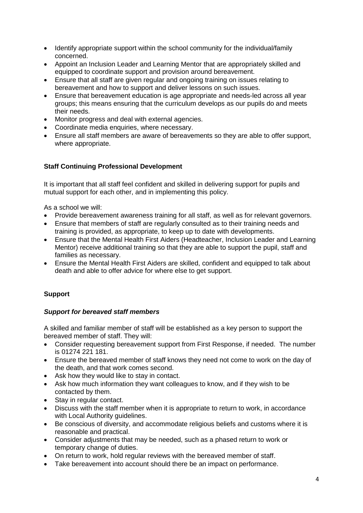- Identify appropriate support within the school community for the individual/family concerned.
- Appoint an Inclusion Leader and Learning Mentor that are appropriately skilled and equipped to coordinate support and provision around bereavement.
- Ensure that all staff are given regular and ongoing training on issues relating to bereavement and how to support and deliver lessons on such issues.
- Ensure that bereavement education is age appropriate and needs-led across all year groups; this means ensuring that the curriculum develops as our pupils do and meets their needs.
- Monitor progress and deal with external agencies.
- Coordinate media enquiries, where necessary.
- Ensure all staff members are aware of bereavements so they are able to offer support, where appropriate.

## **Staff Continuing Professional Development**

It is important that all staff feel confident and skilled in delivering support for pupils and mutual support for each other, and in implementing this policy.

As a school we will:

- Provide bereavement awareness training for all staff, as well as for relevant governors.
- Ensure that members of staff are regularly consulted as to their training needs and training is provided, as appropriate, to keep up to date with developments.
- Ensure that the Mental Health First Aiders (Headteacher, Inclusion Leader and Learning Mentor) receive additional training so that they are able to support the pupil, staff and families as necessary.
- Ensure the Mental Health First Aiders are skilled, confident and equipped to talk about death and able to offer advice for where else to get support.

# **Support**

## *Support for bereaved staff members*

A skilled and familiar member of staff will be established as a key person to support the bereaved member of staff. They will:

- Consider requesting bereavement support from First Response, if needed. The number is 01274 221 181.
- Ensure the bereaved member of staff knows they need not come to work on the day of the death, and that work comes second.
- Ask how they would like to stay in contact.
- Ask how much information they want colleagues to know, and if they wish to be contacted by them.
- Stay in regular contact.
- Discuss with the staff member when it is appropriate to return to work, in accordance with Local Authority guidelines.
- Be conscious of diversity, and accommodate religious beliefs and customs where it is reasonable and practical.
- Consider adjustments that may be needed, such as a phased return to work or temporary change of duties.
- On return to work, hold regular reviews with the bereaved member of staff.
- Take bereavement into account should there be an impact on performance.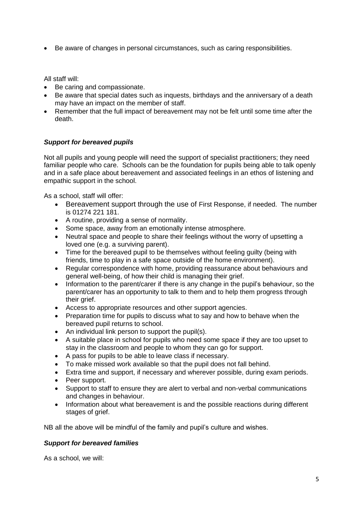• Be aware of changes in personal circumstances, such as caring responsibilities.

All staff will:

- Be caring and compassionate.
- Be aware that special dates such as inquests, birthdays and the anniversary of a death may have an impact on the member of staff.
- Remember that the full impact of bereavement may not be felt until some time after the death.

## *Support for bereaved pupils*

Not all pupils and young people will need the support of specialist practitioners; they need familiar people who care. Schools can be the foundation for pupils being able to talk openly and in a safe place about bereavement and associated feelings in an ethos of listening and empathic support in the school.

As a school, staff will offer:

- Bereavement support through the use of First Response, if needed. The number is 01274 221 181.
- A routine, providing a sense of normality.
- Some space, away from an emotionally intense atmosphere.
- Neutral space and people to share their feelings without the worry of upsetting a loved one (e.g. a surviving parent).
- Time for the bereaved pupil to be themselves without feeling quilty (being with friends, time to play in a safe space outside of the home environment).
- Regular correspondence with home, providing reassurance about behaviours and general well-being, of how their child is managing their grief.
- Information to the parent/carer if there is any change in the pupil's behaviour, so the parent/carer has an opportunity to talk to them and to help them progress through their grief.
- Access to appropriate resources and other support agencies.
- Preparation time for pupils to discuss what to say and how to behave when the bereaved pupil returns to school.
- An individual link person to support the pupil(s).
- A suitable place in school for pupils who need some space if they are too upset to stay in the classroom and people to whom they can go for support.
- A pass for pupils to be able to leave class if necessary.
- To make missed work available so that the pupil does not fall behind.
- Extra time and support, if necessary and wherever possible, during exam periods.
- Peer support.
- Support to staff to ensure they are alert to verbal and non-verbal communications and changes in behaviour.
- Information about what bereavement is and the possible reactions during different stages of grief.

NB all the above will be mindful of the family and pupil's culture and wishes.

# *Support for bereaved families*

As a school, we will: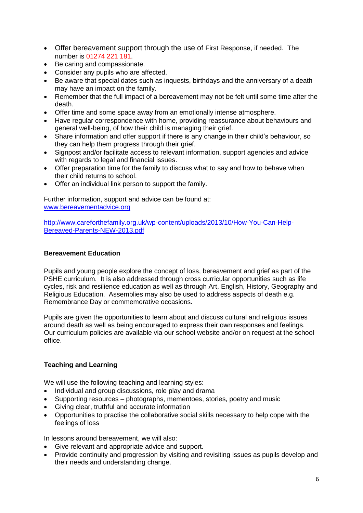- Offer bereavement support through the use of First Response, if needed. The number is 01274 221 181.
- Be caring and compassionate.
- Consider any pupils who are affected.
- Be aware that special dates such as inquests, birthdays and the anniversary of a death may have an impact on the family.
- Remember that the full impact of a bereavement may not be felt until some time after the death.
- Offer time and some space away from an emotionally intense atmosphere.
- Have regular correspondence with home, providing reassurance about behaviours and general well-being, of how their child is managing their grief.
- Share information and offer support if there is any change in their child's behaviour, so they can help them progress through their grief.
- Signpost and/or facilitate access to relevant information, support agencies and advice with regards to legal and financial issues.
- Offer preparation time for the family to discuss what to say and how to behave when their child returns to school.
- Offer an individual link person to support the family.

Further information, support and advice can be found at: [www.bereavementadvice.org](http://www.bereavementadvice.org/)

[http://www.careforthefamily.org.uk/wp-content/uploads/2013/10/How-You-Can-Help-](http://www.careforthefamily.org.uk/wp-content/uploads/2013/10/How-You-Can-Help-Bereaved-Parents-NEW-2013.pdf)[Bereaved-Parents-NEW-2013.pdf](http://www.careforthefamily.org.uk/wp-content/uploads/2013/10/How-You-Can-Help-Bereaved-Parents-NEW-2013.pdf)

## **Bereavement Education**

Pupils and young people explore the concept of loss, bereavement and grief as part of the PSHE curriculum. It is also addressed through cross curricular opportunities such as life cycles, risk and resilience education as well as through Art, English, History, Geography and Religious Education. Assemblies may also be used to address aspects of death e.g. Remembrance Day or commemorative occasions.

Pupils are given the opportunities to learn about and discuss cultural and religious issues around death as well as being encouraged to express their own responses and feelings. Our curriculum policies are available via our school website and/or on request at the school office.

## **Teaching and Learning**

We will use the following teaching and learning styles:

- Individual and group discussions, role play and drama
- Supporting resources photographs, mementoes, stories, poetry and music
- Giving clear, truthful and accurate information
- Opportunities to practise the collaborative social skills necessary to help cope with the feelings of loss

In lessons around bereavement, we will also:

- Give relevant and appropriate advice and support.
- Provide continuity and progression by visiting and revisiting issues as pupils develop and their needs and understanding change.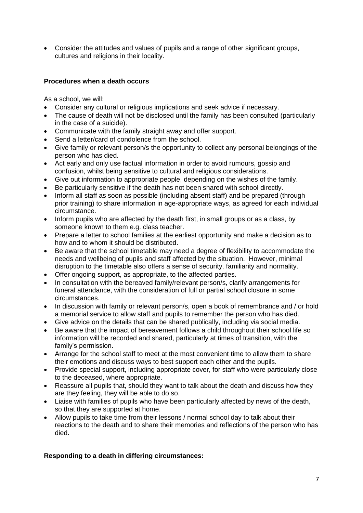Consider the attitudes and values of pupils and a range of other significant groups, cultures and religions in their locality.

## **Procedures when a death occurs**

As a school, we will:

- Consider any cultural or religious implications and seek advice if necessary.
- The cause of death will not be disclosed until the family has been consulted (particularly in the case of a suicide).
- Communicate with the family straight away and offer support.
- Send a letter/card of condolence from the school.
- Give family or relevant person/s the opportunity to collect any personal belongings of the person who has died.
- Act early and only use factual information in order to avoid rumours, gossip and confusion, whilst being sensitive to cultural and religious considerations.
- Give out information to appropriate people, depending on the wishes of the family.
- Be particularly sensitive if the death has not been shared with school directly.
- Inform all staff as soon as possible (including absent staff) and be prepared (through prior training) to share information in age-appropriate ways, as agreed for each individual circumstance.
- Inform pupils who are affected by the death first, in small groups or as a class, by someone known to them e.g. class teacher.
- Prepare a letter to school families at the earliest opportunity and make a decision as to how and to whom it should be distributed.
- Be aware that the school timetable may need a degree of flexibility to accommodate the needs and wellbeing of pupils and staff affected by the situation. However, minimal disruption to the timetable also offers a sense of security, familiarity and normality.
- Offer ongoing support, as appropriate, to the affected parties.
- In consultation with the bereaved family/relevant person/s, clarify arrangements for funeral attendance, with the consideration of full or partial school closure in some circumstances.
- In discussion with family or relevant person/s, open a book of remembrance and / or hold a memorial service to allow staff and pupils to remember the person who has died.
- Give advice on the details that can be shared publically, including via social media.
- Be aware that the impact of bereavement follows a child throughout their school life so information will be recorded and shared, particularly at times of transition, with the family's permission.
- Arrange for the school staff to meet at the most convenient time to allow them to share their emotions and discuss ways to best support each other and the pupils.
- Provide special support, including appropriate cover, for staff who were particularly close to the deceased, where appropriate.
- Reassure all pupils that, should they want to talk about the death and discuss how they are they feeling, they will be able to do so.
- Liaise with families of pupils who have been particularly affected by news of the death, so that they are supported at home.
- Allow pupils to take time from their lessons / normal school day to talk about their reactions to the death and to share their memories and reflections of the person who has died.

# **Responding to a death in differing circumstances:**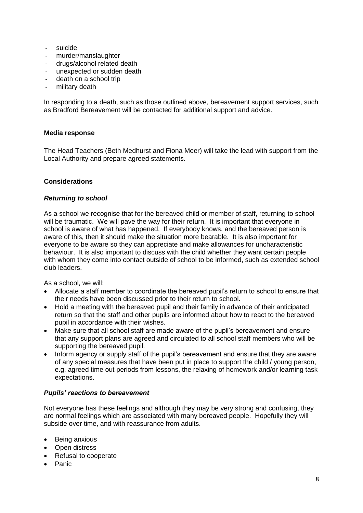- suicide
- murder/manslaughter
- drugs/alcohol related death
- unexpected or sudden death
- death on a school trip
- military death

In responding to a death, such as those outlined above, bereavement support services, such as Bradford Bereavement will be contacted for additional support and advice.

## **Media response**

The Head Teachers (Beth Medhurst and Fiona Meer) will take the lead with support from the Local Authority and prepare agreed statements.

## **Considerations**

## *Returning to school*

As a school we recognise that for the bereaved child or member of staff, returning to school will be traumatic. We will pave the way for their return. It is important that everyone in school is aware of what has happened. If everybody knows, and the bereaved person is aware of this, then it should make the situation more bearable. It is also important for everyone to be aware so they can appreciate and make allowances for uncharacteristic behaviour. It is also important to discuss with the child whether they want certain people with whom they come into contact outside of school to be informed, such as extended school club leaders.

As a school, we will:

- Allocate a staff member to coordinate the bereaved pupil's return to school to ensure that their needs have been discussed prior to their return to school.
- Hold a meeting with the bereaved pupil and their family in advance of their anticipated return so that the staff and other pupils are informed about how to react to the bereaved pupil in accordance with their wishes.
- Make sure that all school staff are made aware of the pupil's bereavement and ensure that any support plans are agreed and circulated to all school staff members who will be supporting the bereaved pupil.
- Inform agency or supply staff of the pupil's bereavement and ensure that they are aware of any special measures that have been put in place to support the child / young person, e.g. agreed time out periods from lessons, the relaxing of homework and/or learning task expectations.

# *Pupils' reactions to bereavement*

Not everyone has these feelings and although they may be very strong and confusing, they are normal feelings which are associated with many bereaved people. Hopefully they will subside over time, and with reassurance from adults.

- Being anxious
- Open distress
- Refusal to cooperate
- Panic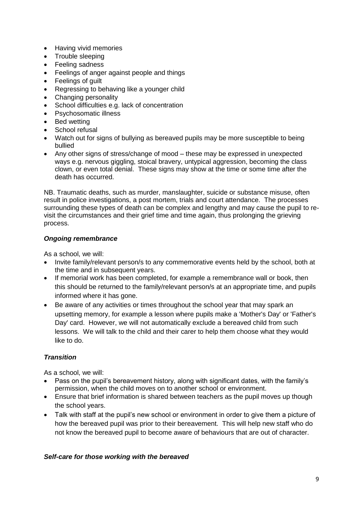- Having vivid memories
- Trouble sleeping
- Feeling sadness
- Feelings of anger against people and things
- Feelings of quilt
- Regressing to behaving like a younger child
- Changing personality
- School difficulties e.g. lack of concentration
- Psychosomatic illness
- Bed wetting
- School refusal
- Watch out for signs of bullying as bereaved pupils may be more susceptible to being bullied
- Any other signs of stress/change of mood these may be expressed in unexpected ways e.g. nervous giggling, stoical bravery, untypical aggression, becoming the class clown, or even total denial. These signs may show at the time or some time after the death has occurred.

NB. Traumatic deaths, such as murder, manslaughter, suicide or substance misuse, often result in police investigations, a post mortem, trials and court attendance. The processes surrounding these types of death can be complex and lengthy and may cause the pupil to revisit the circumstances and their grief time and time again, thus prolonging the grieving process.

## *Ongoing remembrance*

As a school, we will:

- Invite family/relevant person/s to any commemorative events held by the school, both at the time and in subsequent years.
- If memorial work has been completed, for example a remembrance wall or book, then this should be returned to the family/relevant person/s at an appropriate time, and pupils informed where it has gone.
- Be aware of any activities or times throughout the school year that may spark an upsetting memory, for example a lesson where pupils make a 'Mother's Day' or 'Father's Day' card. However, we will not automatically exclude a bereaved child from such lessons. We will talk to the child and their carer to help them choose what they would like to do.

# *Transition*

As a school, we will:

- Pass on the pupil's bereavement history, along with significant dates, with the family's permission, when the child moves on to another school or environment.
- Ensure that brief information is shared between teachers as the pupil moves up though the school years.
- Talk with staff at the pupil's new school or environment in order to give them a picture of how the bereaved pupil was prior to their bereavement. This will help new staff who do not know the bereaved pupil to become aware of behaviours that are out of character.

## *Self-care for those working with the bereaved*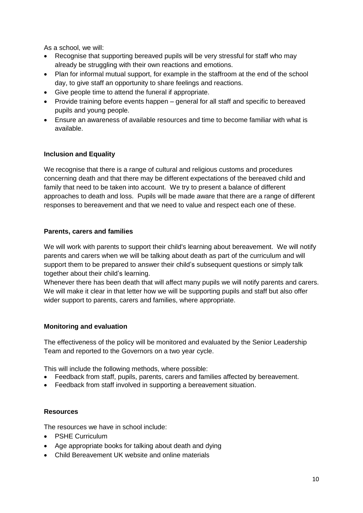As a school, we will:

- Recognise that supporting bereaved pupils will be very stressful for staff who may already be struggling with their own reactions and emotions.
- Plan for informal mutual support, for example in the staffroom at the end of the school day, to give staff an opportunity to share feelings and reactions.
- Give people time to attend the funeral if appropriate.
- Provide training before events happen general for all staff and specific to bereaved pupils and young people.
- Ensure an awareness of available resources and time to become familiar with what is available.

# **Inclusion and Equality**

We recognise that there is a range of cultural and religious customs and procedures concerning death and that there may be different expectations of the bereaved child and family that need to be taken into account. We try to present a balance of different approaches to death and loss. Pupils will be made aware that there are a range of different responses to bereavement and that we need to value and respect each one of these.

# **Parents, carers and families**

We will work with parents to support their child's learning about bereavement. We will notify parents and carers when we will be talking about death as part of the curriculum and will support them to be prepared to answer their child's subsequent questions or simply talk together about their child's learning.

Whenever there has been death that will affect many pupils we will notify parents and carers. We will make it clear in that letter how we will be supporting pupils and staff but also offer wider support to parents, carers and families, where appropriate.

# **Monitoring and evaluation**

The effectiveness of the policy will be monitored and evaluated by the Senior Leadership Team and reported to the Governors on a two year cycle.

This will include the following methods, where possible:

- Feedback from staff, pupils, parents, carers and families affected by bereavement.
- Feedback from staff involved in supporting a bereavement situation.

# **Resources**

The resources we have in school include:

- PSHE Curriculum
- Age appropriate books for talking about death and dying
- Child Bereavement UK website and online materials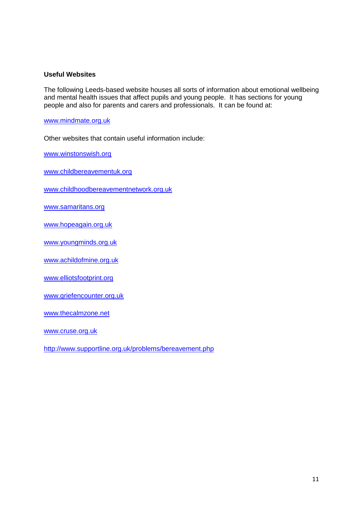#### **Useful Websites**

The following Leeds-based website houses all sorts of information about emotional wellbeing and mental health issues that affect pupils and young people. It has sections for young people and also for parents and carers and professionals. It can be found at:

[www.mindmate.org.uk](http://www.mindmate.org.uk/)

Other websites that contain useful information include:

[www.winstonswish.org](http://www.winstonswish.org/)

[www.childbereavementuk.org](http://www.childbereavementuk.org/)

[www.childhoodbereavementnetwork.org.uk](http://www.childhoodbereavementnetwork.org.uk/)

[www.samaritans.org](http://www.samaritans.org/)

[www.hopeagain.org.uk](http://www.hopeagain.org.uk/)

[www.youngminds.org.uk](http://www.youngminds.org.uk/)

[www.achildofmine.org.uk](http://www.achildofmine.org.uk/)

[www.elliotsfootprint.org](file:///F:/Janina/Safeguarding/Policies/2017-18/Bereavement/www.elliotsfootprint.org)

[www.griefencounter.org.uk](http://www.griefencounter.org.uk/)

[www.thecalmzone.net](http://www.thecalmzone.net/)

[www.cruse.org.uk](http://www.cruse.org.uk/)

<http://www.supportline.org.uk/problems/bereavement.php>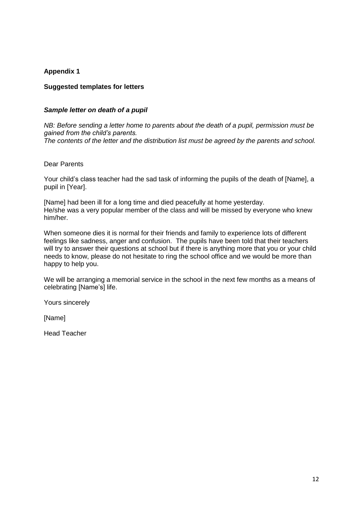## **Appendix 1**

## **Suggested templates for letters**

#### *Sample letter on death of a pupil*

*NB: Before sending a letter home to parents about the death of a pupil, permission must be gained from the child's parents. The contents of the letter and the distribution list must be agreed by the parents and school.*

#### Dear Parents

Your child's class teacher had the sad task of informing the pupils of the death of [Name], a pupil in [Year].

[Name] had been ill for a long time and died peacefully at home yesterday. He/she was a very popular member of the class and will be missed by everyone who knew him/her.

When someone dies it is normal for their friends and family to experience lots of different feelings like sadness, anger and confusion. The pupils have been told that their teachers will try to answer their questions at school but if there is anything more that you or your child needs to know, please do not hesitate to ring the school office and we would be more than happy to help you.

We will be arranging a memorial service in the school in the next few months as a means of celebrating [Name's] life.

Yours sincerely

[Name]

Head Teacher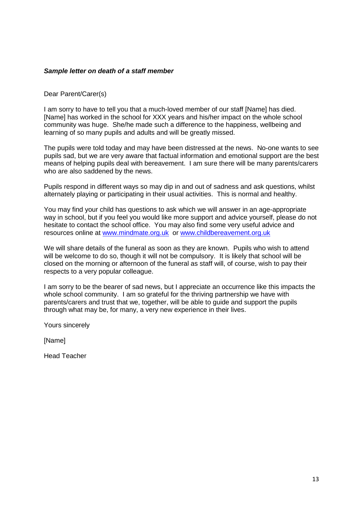#### *Sample letter on death of a staff member*

Dear Parent/Carer(s)

I am sorry to have to tell you that a much-loved member of our staff [Name] has died. [Name] has worked in the school for XXX years and his/her impact on the whole school community was huge. She/he made such a difference to the happiness, wellbeing and learning of so many pupils and adults and will be greatly missed.

The pupils were told today and may have been distressed at the news. No-one wants to see pupils sad, but we are very aware that factual information and emotional support are the best means of helping pupils deal with bereavement. I am sure there will be many parents/carers who are also saddened by the news.

Pupils respond in different ways so may dip in and out of sadness and ask questions, whilst alternately playing or participating in their usual activities. This is normal and healthy.

You may find your child has questions to ask which we will answer in an age-appropriate way in school, but if you feel you would like more support and advice yourself, please do not hesitate to contact the school office. You may also find some very useful advice and resources online at [www.mindmate.org.uk](http://www.mindmate.org.uk/) or [www.childbereavement.org.uk](http://www.childbereavement.org.uk/)

We will share details of the funeral as soon as they are known. Pupils who wish to attend will be welcome to do so, though it will not be compulsory. It is likely that school will be closed on the morning or afternoon of the funeral as staff will, of course, wish to pay their respects to a very popular colleague.

I am sorry to be the bearer of sad news, but I appreciate an occurrence like this impacts the whole school community. I am so grateful for the thriving partnership we have with parents/carers and trust that we, together, will be able to guide and support the pupils through what may be, for many, a very new experience in their lives.

Yours sincerely

[Name]

Head Teacher